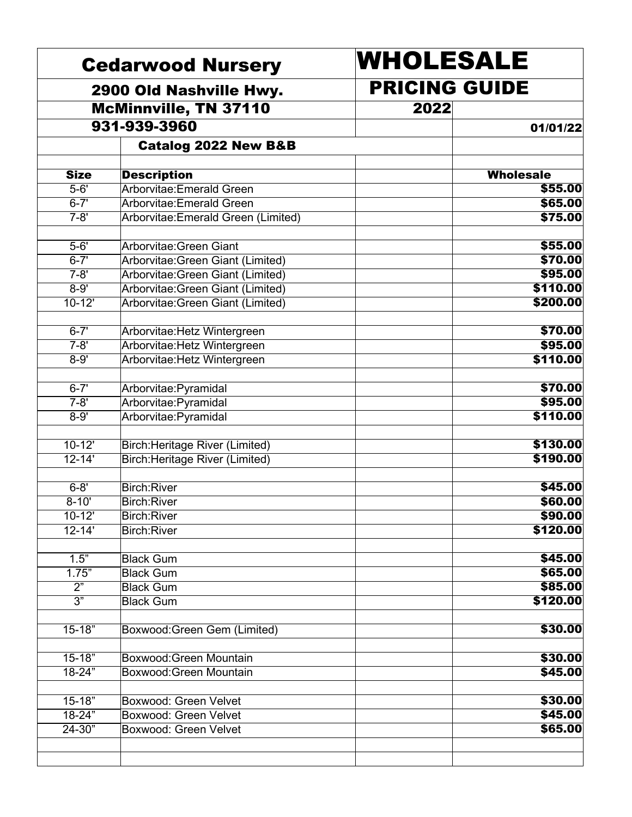|                  | <b>Cedarwood Nursery</b>            | WHOLESALE                                |                  |
|------------------|-------------------------------------|------------------------------------------|------------------|
|                  | 2900 Old Nashville Hwy.             | <b>PRICING GUIDE</b><br>2022<br>01/01/22 |                  |
|                  | <b>McMinnville, TN 37110</b>        |                                          |                  |
|                  | 931-939-3960                        |                                          |                  |
|                  | <b>Catalog 2022 New B&amp;B</b>     |                                          |                  |
| <b>Size</b>      | <b>Description</b>                  |                                          | <b>Wholesale</b> |
| $5 - 6'$         | Arborvitae: Emerald Green           |                                          | \$55.00          |
| $6 - 7'$         | Arborvitae: Emerald Green           |                                          | \$65.00          |
| $7 - 8'$         | Arborvitae: Emerald Green (Limited) |                                          | \$75.00          |
| $5 - 6'$         | Arborvitae: Green Giant             |                                          | \$55.00          |
| $6 - 7'$         | Arborvitae: Green Giant (Limited)   |                                          | \$70.00          |
| $7 - 8'$         | Arborvitae: Green Giant (Limited)   |                                          | \$95.00          |
| $8 - 9'$         | Arborvitae: Green Giant (Limited)   |                                          | \$110.00         |
| $10 - 12'$       | Arborvitae: Green Giant (Limited)   |                                          | \$200.00         |
| $6 - 7'$         | Arborvitae: Hetz Wintergreen        |                                          | \$70.00          |
| $7 - 8'$         | Arborvitae: Hetz Wintergreen        |                                          | \$95.00          |
| $8 - 9'$         | Arborvitae: Hetz Wintergreen        |                                          | \$110.00         |
| $6 - 7'$         | Arborvitae:Pyramidal                |                                          | \$70.00          |
| $7 - 8'$         | Arborvitae: Pyramidal               |                                          | \$95.00          |
| $8 - 9'$         | Arborvitae: Pyramidal               |                                          | \$110.00         |
| $10-12'$         | Birch: Heritage River (Limited)     |                                          | \$130.00         |
| $12 - 14'$       | Birch: Heritage River (Limited)     |                                          | \$190.00         |
| $6 - 8'$         | Birch:River                         |                                          | \$45.00          |
| $8 - 10'$        | Birch:River                         |                                          | \$60.00          |
| $10 - 12'$       | Birch:River                         |                                          | \$90.00          |
| $12 - 14'$       | Birch:River                         |                                          | \$120.00         |
| 1.5"             | <b>Black Gum</b>                    |                                          | \$45.00          |
| 1.75"            | <b>Black Gum</b>                    |                                          | \$65.00          |
| $\overline{2^n}$ | <b>Black Gum</b>                    |                                          | \$85.00          |
| $\overline{3^n}$ | <b>Black Gum</b>                    |                                          | \$120.00         |
| $15 - 18"$       | Boxwood: Green Gem (Limited)        |                                          | \$30.00          |
| $15 - 18"$       | Boxwood: Green Mountain             |                                          | \$30.00          |
| 18-24"           | Boxwood: Green Mountain             |                                          | \$45.00          |
| $15 - 18"$       | Boxwood: Green Velvet               |                                          | \$30.00          |
| $18 - 24"$       | Boxwood: Green Velvet               |                                          | \$45.00          |
| $24 - 30"$       | Boxwood: Green Velvet               |                                          | \$65.00          |
|                  |                                     |                                          |                  |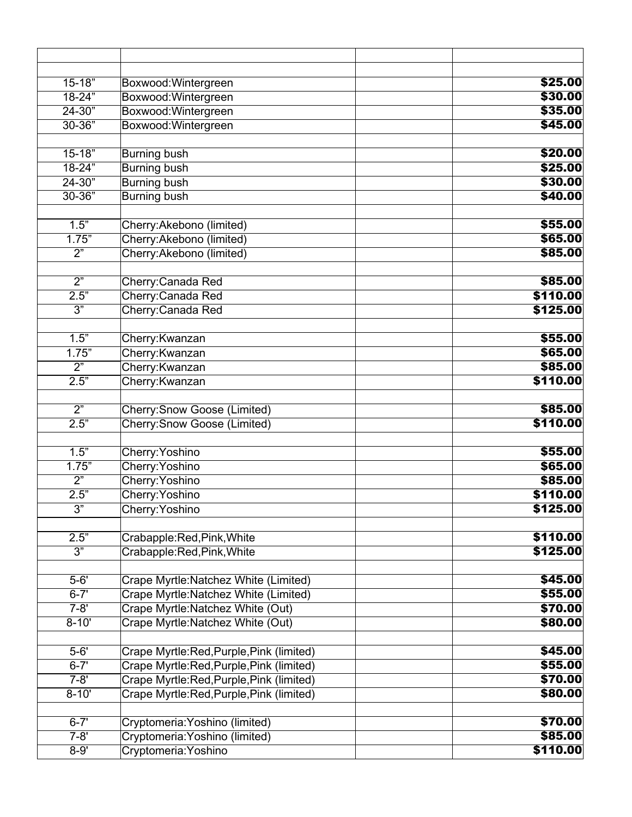| $15 - 18"$       | Boxwood: Wintergreen                     | \$25.00  |
|------------------|------------------------------------------|----------|
| $18 - 24"$       | Boxwood: Wintergreen                     | \$30.00  |
| $24 - 30"$       | Boxwood: Wintergreen                     | \$35.00  |
| $30 - 36"$       | Boxwood: Wintergreen                     | \$45.00  |
|                  |                                          |          |
| $15 - 18$        | <b>Burning bush</b>                      | \$20.00  |
| 18-24"           | Burning bush                             | \$25.00  |
| $24 - 30"$       | <b>Burning bush</b>                      | \$30.00  |
| $30 - 36"$       | <b>Burning bush</b>                      | \$40.00  |
| 1.5"             | Cherry: Akebono (limited)                | \$55.00  |
| 1.75"            | Cherry: Akebono (limited)                | \$65.00  |
| $\overline{2}$ " | Cherry: Akebono (limited)                | \$85.00  |
|                  |                                          |          |
| $\overline{2}$   | Cherry: Canada Red                       | \$85.00  |
| 2.5"             | Cherry: Canada Red                       | \$110.00 |
| $\overline{3}$ " | Cherry: Canada Red                       | \$125.00 |
| 1.5"             | Cherry: Kwanzan                          | \$55.00  |
| 1.75"            | Cherry: Kwanzan                          | \$65.00  |
| $\overline{2^n}$ | Cherry: Kwanzan                          | \$85.00  |
| 2.5"             | Cherry: Kwanzan                          | \$110.00 |
|                  |                                          |          |
| $\overline{2^n}$ | Cherry: Snow Goose (Limited)             | \$85.00  |
| 2.5"             | <b>Cherry: Snow Goose (Limited)</b>      | \$110.00 |
| 1.5"             | Cherry: Yoshino                          | \$55.00  |
| 1.75"            | Cherry: Yoshino                          | \$65.00  |
| $\overline{2}$ " | Cherry: Yoshino                          | \$85.00  |
| 2.5"             | Cherry: Yoshino                          | \$110.00 |
| $\overline{3"}$  | Cherry: Yoshino                          | \$125.00 |
|                  |                                          |          |
| 2.5"             | Crabapple:Red,Pink,White                 | \$110.00 |
| 3"               | Crabapple:Red,Pink, White                | \$125.00 |
|                  |                                          |          |
| $5 - 6'$         | Crape Myrtle: Natchez White (Limited)    | \$45.00  |
| $6 - 7'$         | Crape Myrtle: Natchez White (Limited)    | \$55.00  |
| $7 - 8'$         | Crape Myrtle: Natchez White (Out)        | \$70.00  |
| $8 - 10'$        | Crape Myrtle: Natchez White (Out)        | \$80.00  |
| $5 - 6'$         | Crape Myrtle:Red,Purple,Pink (limited)   | \$45.00  |
| $6 - 7'$         | Crape Myrtle:Red, Purple, Pink (limited) | \$55.00  |
| $7 - 8'$         | Crape Myrtle:Red,Purple,Pink (limited)   | \$70.00  |
| $8 - 10'$        | Crape Myrtle:Red, Purple, Pink (limited) | \$80.00  |
| $6 - 7'$         | Cryptomeria: Yoshino (limited)           | \$70.00  |
| $7 - 8'$         | Cryptomeria: Yoshino (limited)           | \$85.00  |
| $8 - 9'$         | Cryptomeria: Yoshino                     | \$110.00 |
|                  |                                          |          |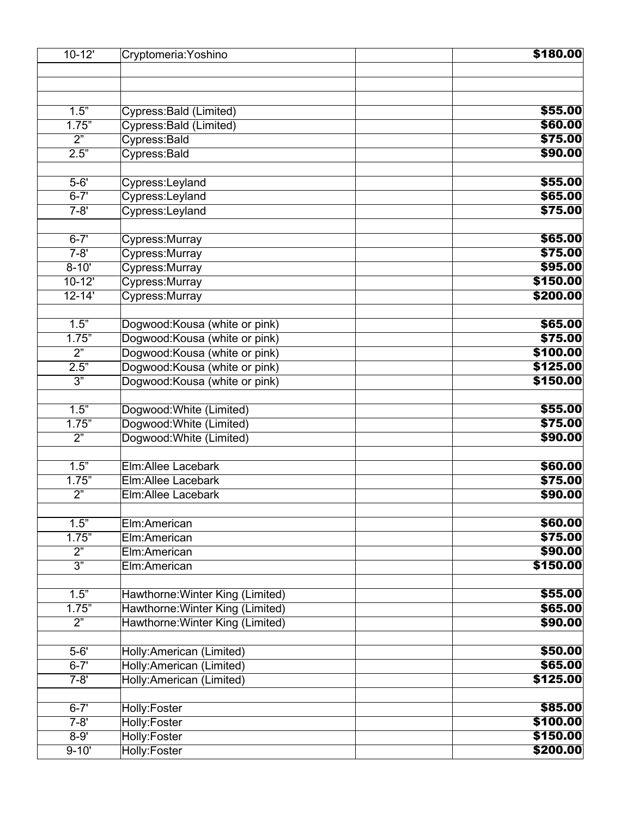| $10 - 12'$       | Cryptomeria: Yoshino                                                 | \$180.00            |
|------------------|----------------------------------------------------------------------|---------------------|
|                  |                                                                      |                     |
|                  |                                                                      |                     |
| 1.5"             | Cypress: Bald (Limited)                                              | \$55.00             |
| 1.75"            | Cypress: Bald (Limited)                                              | \$60.00             |
| $\overline{2^n}$ | Cypress: Bald                                                        | \$75.00             |
| 2.5"             | Cypress: Bald                                                        | \$90.00             |
|                  |                                                                      |                     |
| $5 - 6'$         | Cypress:Leyland                                                      | \$55.00             |
| $6 - 7'$         | Cypress:Leyland                                                      | \$65.00             |
| $7 - 8'$         | Cypress:Leyland                                                      | \$75.00             |
| $6 - 7'$         | Cypress: Murray                                                      | \$65.00             |
| $7 - 8'$         | Cypress: Murray                                                      | \$75.00             |
| $8 - 10'$        | Cypress: Murray                                                      | \$95.00             |
| $10 - 12'$       | Cypress: Murray                                                      | \$150.00            |
| $12 - 14'$       | Cypress: Murray                                                      | \$200.00            |
|                  |                                                                      |                     |
| 1.5"             | Dogwood: Kousa (white or pink)                                       | \$65.00             |
| 1.75"            | Dogwood: Kousa (white or pink)                                       | \$75.00             |
| $\overline{2^n}$ | Dogwood: Kousa (white or pink)                                       | \$100.00            |
| 2.5"             | Dogwood: Kousa (white or pink)                                       | \$125.00            |
| $\overline{3^n}$ | Dogwood: Kousa (white or pink)                                       | \$150.00            |
|                  |                                                                      |                     |
| 1.5"             | Dogwood: White (Limited)                                             | \$55.00             |
| 1.75"            | Dogwood: White (Limited)                                             | \$75.00             |
| $\overline{2}$   | Dogwood: White (Limited)                                             | \$90.00             |
| 1.5"             | Elm:Allee Lacebark                                                   | \$60.00             |
| 1.75"            | Elm:Allee Lacebark                                                   | \$75.00             |
| $\overline{2}$   | <b>Elm:Allee Lacebark</b>                                            | \$90.00             |
|                  |                                                                      |                     |
| 1.5"             | Elm:American                                                         | \$60.00             |
| 1.75"            | Elm:American                                                         | \$75.00             |
| 2"               | Elm:American                                                         | \$90.00             |
| $\overline{3^n}$ | Elm:American                                                         | \$150.00            |
| 1.5"             |                                                                      | \$55.00             |
| 1.75"            | Hawthorne: Winter King (Limited)<br>Hawthorne: Winter King (Limited) | \$65.00             |
| $\overline{2^n}$ | Hawthorne: Winter King (Limited)                                     | \$90.00             |
|                  |                                                                      |                     |
| $5 - 6'$         | Holly:American (Limited)                                             | \$50.00             |
| $6 - 7'$         | Holly:American (Limited)                                             | \$65.00             |
| $7 - 8'$         | Holly:American (Limited)                                             | \$125.00            |
| $6 - 7'$         |                                                                      |                     |
| $7 - 8'$         | Holly:Foster                                                         | \$85.00<br>\$100.00 |
| $8 - 9'$         | Holly:Foster<br><b>Holly:Foster</b>                                  | \$150.00            |
| $9 - 10'$        | Holly:Foster                                                         | \$200.00            |
|                  |                                                                      |                     |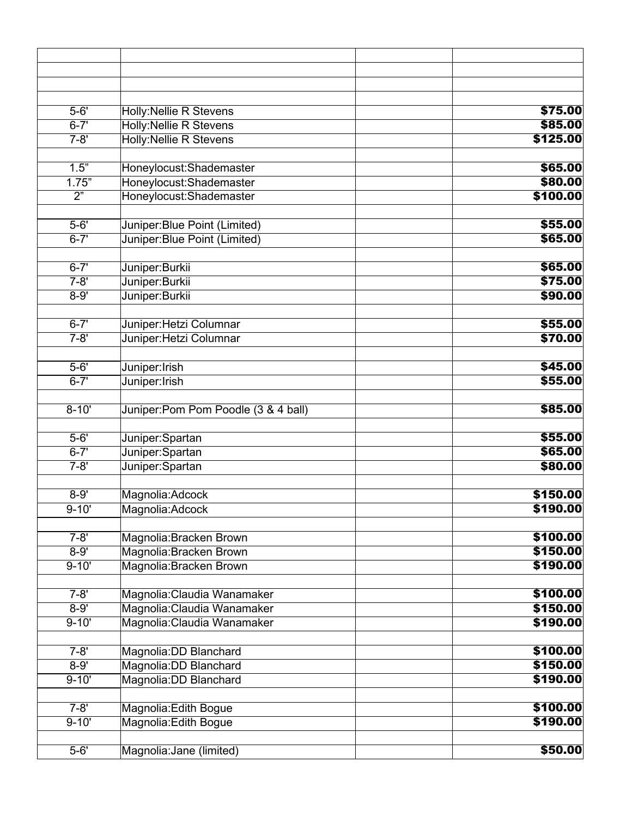| $5 - 6'$              | Holly: Nellie R Stevens             | \$75.00              |
|-----------------------|-------------------------------------|----------------------|
| $6 - 7'$              | <b>Holly:Nellie R Stevens</b>       | \$85.00              |
| $7 - 8'$              | <b>Holly: Nellie R Stevens</b>      | \$125.00             |
|                       |                                     |                      |
| 1.5"                  | Honeylocust: Shademaster            | \$65.00              |
| 1.75"                 | Honeylocust:Shademaster             | \$80.00              |
| $\overline{2^n}$      | Honeylocust:Shademaster             | \$100.00             |
|                       |                                     |                      |
| $5 - 6'$              | Juniper: Blue Point (Limited)       | \$55.00              |
| $6 - 7'$              | Juniper: Blue Point (Limited)       | \$65.00              |
|                       |                                     |                      |
| $6 - 7'$              | Juniper:Burkii                      | \$65.00              |
| $7 - 8'$              | Juniper:Burkii                      | \$75.00              |
| $8 - 9'$              | Juniper:Burkii                      | \$90.00              |
| $6 - 7'$              | Juniper: Hetzi Columnar             | \$55.00              |
| $7 - 8'$              | Juniper: Hetzi Columnar             | \$70.00              |
|                       |                                     |                      |
| $5 - 6'$              | Juniper: Irish                      | \$45.00              |
| $6 - 7'$              | Juniper:Irish                       | \$55.00              |
|                       |                                     |                      |
| $8 - 10'$             | Juniper:Pom Pom Poodle (3 & 4 ball) | \$85.00              |
|                       |                                     |                      |
| $5 - 6'$              | Juniper:Spartan                     | \$55.00              |
| $6 - 7'$              | Juniper:Spartan                     | \$65.00              |
| $7 - 8'$              | Juniper:Spartan                     | \$80.00              |
| $8 - 9'$              | Magnolia:Adcock                     | \$150.00             |
| $9 - 10'$             | Magnolia:Adcock                     | \$190.00             |
|                       |                                     |                      |
| $7 - 8'$              | Magnolia: Bracken Brown             | \$100.00             |
| $8 - 9'$              | Magnolia: Bracken Brown             | \$150.00             |
| $9 - 10'$             | Magnolia: Bracken Brown             | \$190.00             |
|                       |                                     |                      |
| $7 - 8'$              | Magnolia: Claudia Wanamaker         | \$100.00             |
| $8 - 9'$              | Magnolia: Claudia Wanamaker         | \$150.00             |
| $9 - 10'$             | Magnolia: Claudia Wanamaker         | \$190.00             |
|                       |                                     |                      |
| $7 - 8'$              | Magnolia: DD Blanchard              | \$100.00             |
| $8 - 9'$<br>$9 - 10'$ | Magnolia: DD Blanchard              | \$150.00<br>\$190.00 |
|                       | Magnolia: DD Blanchard              |                      |
| $7 - 8'$              | Magnolia: Edith Bogue               | \$100.00             |
| $9 - 10'$             | Magnolia: Edith Bogue               | \$190.00             |
|                       |                                     |                      |
| $5 - 6'$              | Magnolia: Jane (limited)            | \$50.00              |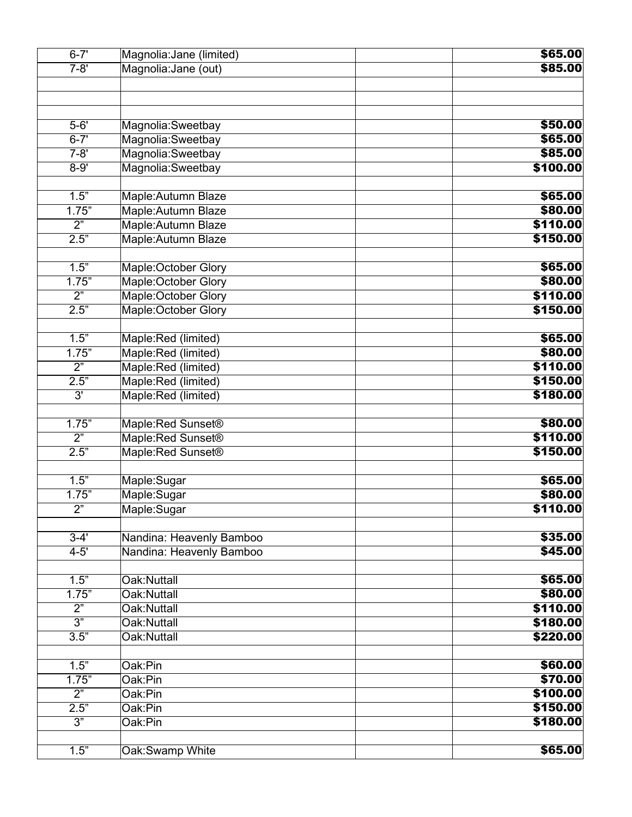| $\overline{6-7}$ ' | Magnolia: Jane (limited)      | \$65.00  |
|--------------------|-------------------------------|----------|
| $7 - 8'$           | Magnolia: Jane (out)          | \$85.00  |
|                    |                               |          |
|                    |                               |          |
| $5-6'$             | Magnolia:Sweetbay             | \$50.00  |
| $6 - 7'$           | Magnolia:Sweetbay             | \$65.00  |
| $7 - 8'$           | Magnolia:Sweetbay             | \$85.00  |
| $8 - 9'$           | Magnolia:Sweetbay             | \$100.00 |
|                    |                               |          |
| 1.5"               | Maple: Autumn Blaze           | \$65.00  |
| 1.75"              | Maple: Autumn Blaze           | \$80.00  |
| 2"                 | Maple: Autumn Blaze           | \$110.00 |
| 2.5"               | Maple: Autumn Blaze           | \$150.00 |
|                    |                               |          |
| 1.5"               | Maple: October Glory          | \$65.00  |
| 1.75"              | Maple:October Glory           | \$80.00  |
| $\overline{2^n}$   | Maple:October Glory           | \$110.00 |
| 2.5"               | <b>Maple:October Glory</b>    | \$150.00 |
|                    |                               |          |
| 1.5"               | Maple:Red (limited)           | \$65.00  |
| 1.75"              | Maple:Red (limited)           | \$80.00  |
| $\overline{2^n}$   | Maple:Red (limited)           | \$110.00 |
| 2.5"               | Maple:Red (limited)           | \$150.00 |
| 3'                 | Maple:Red (limited)           | \$180.00 |
| 1.75"              | Maple:Red Sunset <sup>®</sup> | \$80.00  |
| 2"                 | Maple:Red Sunset <sup>®</sup> | \$110.00 |
| 2.5"               | Maple:Red Sunset <sup>®</sup> | \$150.00 |
|                    |                               |          |
| 1.5"               | Maple:Sugar                   | \$65.00  |
| 1.75"              | Maple:Sugar                   | \$80.00  |
| $\overline{2^n}$   | Maple:Sugar                   | \$110.00 |
|                    |                               |          |
| $3 - 4'$           | Nandina: Heavenly Bamboo      | \$35.00  |
| $4 - 5'$           | Nandina: Heavenly Bamboo      | \$45.00  |
| 1.5"               | Oak:Nuttall                   | \$65.00  |
| 1.75"              | Oak:Nuttall                   | \$80.00  |
| 2"                 | Oak:Nuttall                   | \$110.00 |
| $\overline{3^n}$   | Oak:Nuttall                   | \$180.00 |
| 3.5"               | Oak:Nuttall                   | \$220.00 |
|                    |                               |          |
| 1.5"               | Oak:Pin                       | \$60.00  |
| 1.75"              | Oak:Pin                       | \$70.00  |
| $\overline{2^n}$   | Oak:Pin                       | \$100.00 |
| 2.5"               | Oak:Pin                       | \$150.00 |
| $\overline{3"}$    | Oak:Pin                       | \$180.00 |
|                    |                               |          |
| 1.5"               | Oak:Swamp White               | \$65.00  |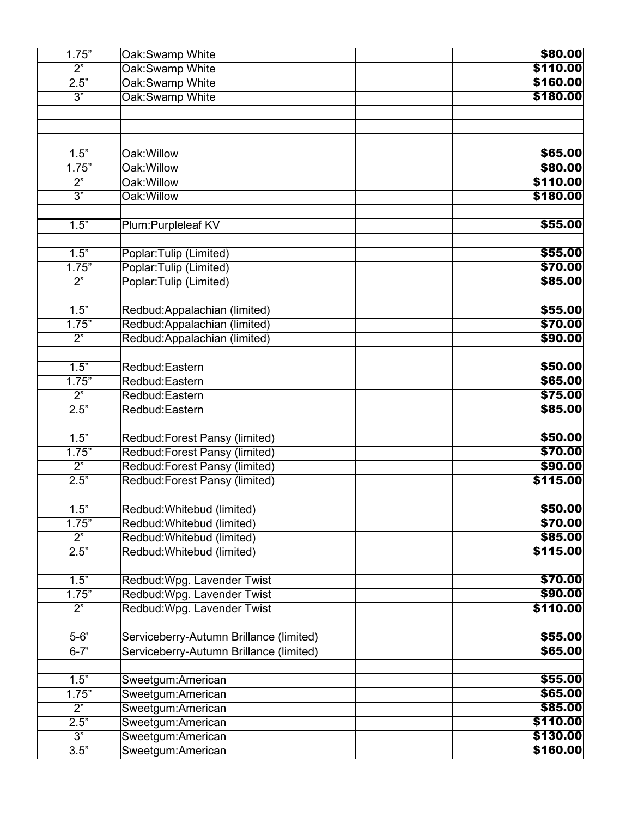| 1.75"            | Oak: Swamp White                        | \$80.00  |
|------------------|-----------------------------------------|----------|
| 2"               | Oak:Swamp White                         | \$110.00 |
| 2.5"             | Oak:Swamp White                         | \$160.00 |
| $\overline{3^n}$ | Oak: Swamp White                        | \$180.00 |
|                  |                                         |          |
|                  |                                         |          |
|                  |                                         |          |
| 1.5"             | Oak: Willow                             | \$65.00  |
| 1.75"            | Oak: Willow                             | \$80.00  |
| $\overline{2}$ " | Oak: Willow                             | \$110.00 |
| $\overline{3"}$  | Oak: Willow                             | \$180.00 |
|                  |                                         |          |
| 1.5"             | Plum: Purpleleaf KV                     | \$55.00  |
|                  |                                         |          |
| 1.5"             | Poplar: Tulip (Limited)                 | \$55.00  |
| 1.75"            | Poplar: Tulip (Limited)                 | \$70.00  |
| $\overline{2}$   | Poplar: Tulip (Limited)                 | \$85.00  |
|                  |                                         |          |
| 1.5"             | Redbud: Appalachian (limited)           | \$55.00  |
| 1.75"            | Redbud: Appalachian (limited)           | \$70.00  |
| $\overline{2}$   | Redbud: Appalachian (limited)           | \$90.00  |
|                  |                                         |          |
| 1.5"             | Redbud:Eastern                          | \$50.00  |
| 1.75"            | Redbud:Eastern                          | \$65.00  |
| $\overline{2}$   | Redbud:Eastern                          | \$75.00  |
| 2.5"             | Redbud:Eastern                          | \$85.00  |
|                  |                                         |          |
| 1.5"             | Redbud: Forest Pansy (limited)          | \$50.00  |
| 1.75"            | Redbud: Forest Pansy (limited)          | \$70.00  |
| $\overline{2"}$  | Redbud: Forest Pansy (limited)          | \$90.00  |
| 2.5"             | Redbud: Forest Pansy (limited)          | \$115.00 |
|                  |                                         |          |
| 1.5"             | Redbud: Whitebud (limited)              | \$50.00  |
| 1.75"            | Redbud: Whitebud (limited)              | \$70.00  |
| 2"               | Redbud: Whitebud (limited)              | \$85.00  |
| 2.5"             | Redbud: Whitebud (limited)              | \$115.00 |
|                  |                                         |          |
| 1.5"             | Redbud: Wpg. Lavender Twist             | \$70.00  |
| 1.75"            | Redbud: Wpg. Lavender Twist             | \$90.00  |
| $\overline{2}$ " | Redbud: Wpg. Lavender Twist             | \$110.00 |
|                  |                                         |          |
| $5 - 6'$         | Serviceberry-Autumn Brillance (limited) | \$55.00  |
|                  |                                         |          |
| $6 - 7'$         | Serviceberry-Autumn Brillance (limited) | \$65.00  |
| 1.5"             |                                         | \$55.00  |
|                  | Sweetgum:American                       | \$65.00  |
| 1.75"            | Sweetgum:American                       |          |
| $\overline{2}$   | Sweetgum:American                       | \$85.00  |
| 2.5"             | Sweetgum:American                       | \$110.00 |
| $\overline{3}$ " | Sweetgum:American                       | \$130.00 |
| 3.5"             | Sweetgum:American                       | \$160.00 |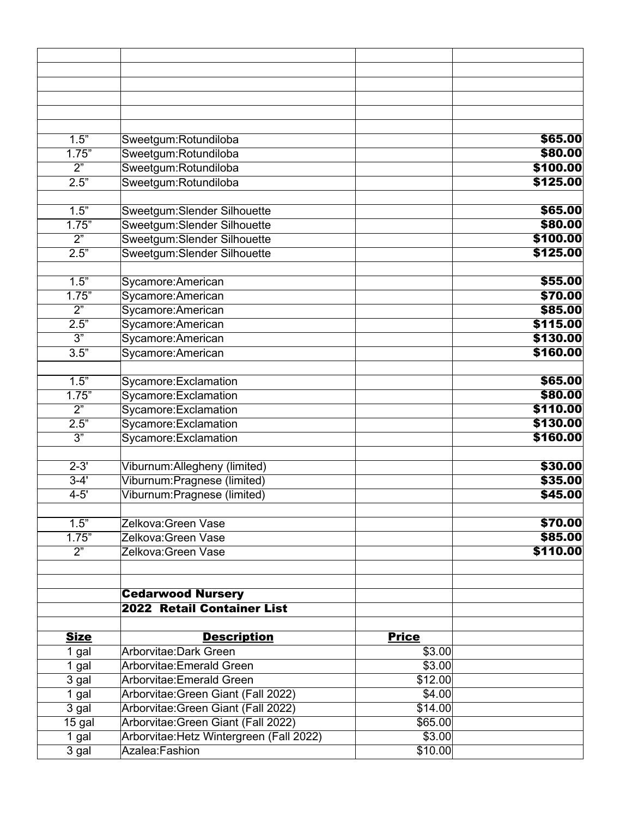| 1.5"                     | Sweetgum:Rotundiloba                     |              | \$65.00  |
|--------------------------|------------------------------------------|--------------|----------|
| 1.75"                    | Sweetgum:Rotundiloba                     |              | \$80.00  |
| 2"                       | Sweetgum:Rotundiloba                     |              | \$100.00 |
| 2.5"                     | Sweetgum:Rotundiloba                     |              | \$125.00 |
|                          |                                          |              |          |
| 1.5"                     | Sweetgum:Slender Silhouette              |              | \$65.00  |
| 1.75"                    | Sweetgum:Slender Silhouette              |              | \$80.00  |
| $\overline{2}$ "         | Sweetgum:Slender Silhouette              |              | \$100.00 |
| 2.5"                     | Sweetgum:Slender Silhouette              |              | \$125.00 |
|                          |                                          |              |          |
| 1.5"                     | Sycamore: American                       |              | \$55.00  |
| 1.75"                    | Sycamore: American                       |              | \$70.00  |
| $\overline{2}$ "         | Sycamore: American                       |              | \$85.00  |
| 2.5"                     | Sycamore: American                       |              | \$115.00 |
| $\overline{3"}$          | Sycamore: American                       |              | \$130.00 |
| $\overline{3.5}$ "       | Sycamore: American                       |              | \$160.00 |
|                          |                                          |              |          |
| 1.5"                     |                                          |              | \$65.00  |
|                          | Sycamore: Exclamation                    |              | \$80.00  |
| 1.75"<br>$\overline{2"}$ | Sycamore: Exclamation                    |              | \$110.00 |
|                          | Sycamore: Exclamation                    |              |          |
| 2.5"                     | Sycamore: Exclamation                    |              | \$130.00 |
| 3"                       | Sycamore: Exclamation                    |              | \$160.00 |
| $2 - 3'$                 |                                          |              |          |
|                          | Viburnum:Allegheny (limited)             |              | \$30.00  |
| $3 - 4'$                 | Viburnum: Pragnese (limited)             |              | \$35.00  |
| $4 - 5'$                 | Viburnum: Pragnese (limited)             |              | \$45.00  |
|                          |                                          |              |          |
| 1.5"                     | Zelkova: Green Vase                      |              | \$70.00  |
| 1.75"                    | Zelkova:Green Vase                       |              | \$85.00  |
| $\overline{2}$ "         | Zelkova:Green Vase                       |              | \$110.00 |
|                          |                                          |              |          |
|                          |                                          |              |          |
|                          | <b>Cedarwood Nursery</b>                 |              |          |
|                          | 2022 Retail Container List               |              |          |
|                          |                                          |              |          |
| <b>Size</b>              | <b>Description</b>                       | <b>Price</b> |          |
| 1 gal                    | Arborvitae: Dark Green                   | \$3.00       |          |
| 1 gal                    | Arborvitae: Emerald Green                | \$3.00       |          |
| 3 gal                    | Arborvitae: Emerald Green                | \$12.00      |          |
| 1 gal                    | Arborvitae: Green Giant (Fall 2022)      | \$4.00       |          |
| 3 gal                    | Arborvitae: Green Giant (Fall 2022)      | \$14.00      |          |
| 15 gal                   | Arborvitae: Green Giant (Fall 2022)      | \$65.00      |          |
| 1 gal                    | Arborvitae: Hetz Wintergreen (Fall 2022) | \$3.00       |          |
| 3 gal                    | Azalea:Fashion                           | \$10.00      |          |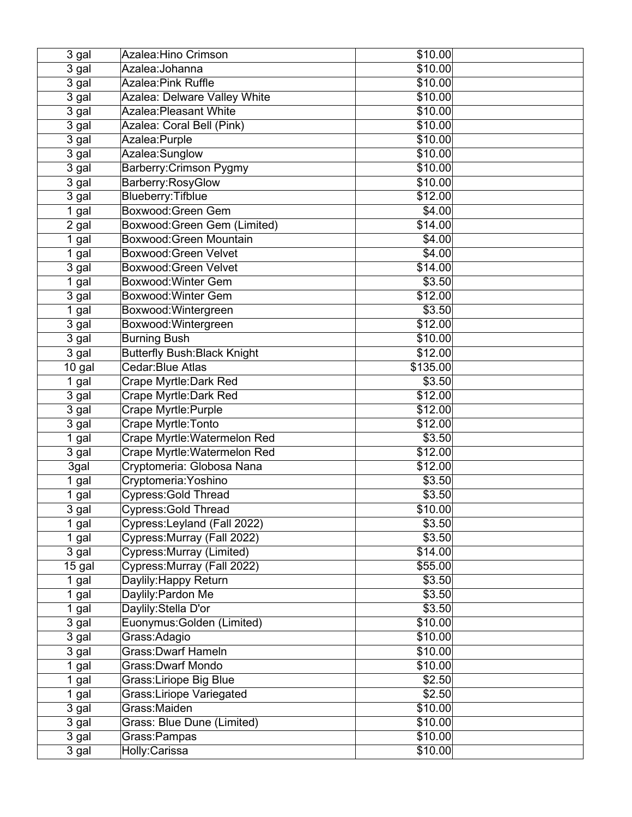| 3 gal  | Azalea: Hino Crimson                | \$10.00  |  |
|--------|-------------------------------------|----------|--|
| 3 gal  | Azalea: Johanna                     | \$10.00  |  |
| 3 gal  | Azalea: Pink Ruffle                 | \$10.00  |  |
| 3 gal  | Azalea: Delware Valley White        | \$10.00  |  |
| 3 gal  | <b>Azalea: Pleasant White</b>       | \$10.00  |  |
| 3 gal  | Azalea: Coral Bell (Pink)           | \$10.00  |  |
| 3 gal  | Azalea: Purple                      | \$10.00  |  |
| 3 gal  | Azalea:Sunglow                      | \$10.00  |  |
| 3 gal  | Barberry: Crimson Pygmy             | \$10.00  |  |
| 3 gal  | Barberry:RosyGlow                   | \$10.00  |  |
| 3 gal  | Blueberry: Tifblue                  | \$12.00  |  |
| 1 gal  | Boxwood: Green Gem                  | \$4.00   |  |
| 2 gal  | Boxwood: Green Gem (Limited)        | \$14.00  |  |
| 1 gal  | Boxwood: Green Mountain             | \$4.00   |  |
| 1 gal  | Boxwood: Green Velvet               | \$4.00   |  |
| 3 gal  | Boxwood: Green Velvet               | \$14.00  |  |
| 1 gal  | Boxwood: Winter Gem                 | \$3.50   |  |
| 3 gal  | Boxwood: Winter Gem                 | \$12.00  |  |
| 1 gal  | Boxwood: Wintergreen                | \$3.50   |  |
| 3 gal  | Boxwood: Wintergreen                | \$12.00  |  |
| 3 gal  | <b>Burning Bush</b>                 | \$10.00  |  |
| 3 gal  | <b>Butterfly Bush: Black Knight</b> | \$12.00  |  |
| 10 gal | Cedar: Blue Atlas                   | \$135.00 |  |
| 1 gal  | Crape Myrtle: Dark Red              | \$3.50   |  |
| 3 gal  | Crape Myrtle: Dark Red              | \$12.00  |  |
| 3 gal  | Crape Myrtle: Purple                | \$12.00  |  |
| 3 gal  | Crape Myrtle: Tonto                 | \$12.00  |  |
| 1 gal  | Crape Myrtle: Watermelon Red        | \$3.50   |  |
| 3 gal  | Crape Myrtle: Watermelon Red        | \$12.00  |  |
| 3gal   | Cryptomeria: Globosa Nana           | \$12.00  |  |
| 1 gal  | Cryptomeria: Yoshino                | \$3.50   |  |
| 1 gal  | Cypress: Gold Thread                | \$3.50   |  |
| 3 gal  | Cypress: Gold Thread                | \$10.00  |  |
| 1 gal  | Cypress: Leyland (Fall 2022)        | \$3.50   |  |
| 1 gal  | Cypress: Murray (Fall 2022)         | \$3.50   |  |
| 3 gal  | Cypress: Murray (Limited)           | \$14.00  |  |
| 15 gal | Cypress: Murray (Fall 2022)         | \$55.00  |  |
| 1 gal  | Daylily: Happy Return               | \$3.50   |  |
| 1 gal  | Daylily: Pardon Me                  | \$3.50   |  |
| 1 gal  | Daylily: Stella D'or                | \$3.50   |  |
| 3 gal  | Euonymus: Golden (Limited)          | \$10.00  |  |
| 3 gal  | Grass: Adagio                       | \$10.00  |  |
| 3 gal  | <b>Grass: Dwarf Hameln</b>          | \$10.00  |  |
| 1 gal  | <b>Grass: Dwarf Mondo</b>           | \$10.00  |  |
| 1 gal  | <b>Grass:Liriope Big Blue</b>       | \$2.50   |  |
| 1 gal  | <b>Grass:Liriope Variegated</b>     | \$2.50   |  |
| 3 gal  | Grass:Maiden                        | \$10.00  |  |
| 3 gal  | Grass: Blue Dune (Limited)          | \$10.00  |  |
| 3 gal  | Grass:Pampas                        | \$10.00  |  |
| 3 gal  | Holly:Carissa                       | \$10.00  |  |